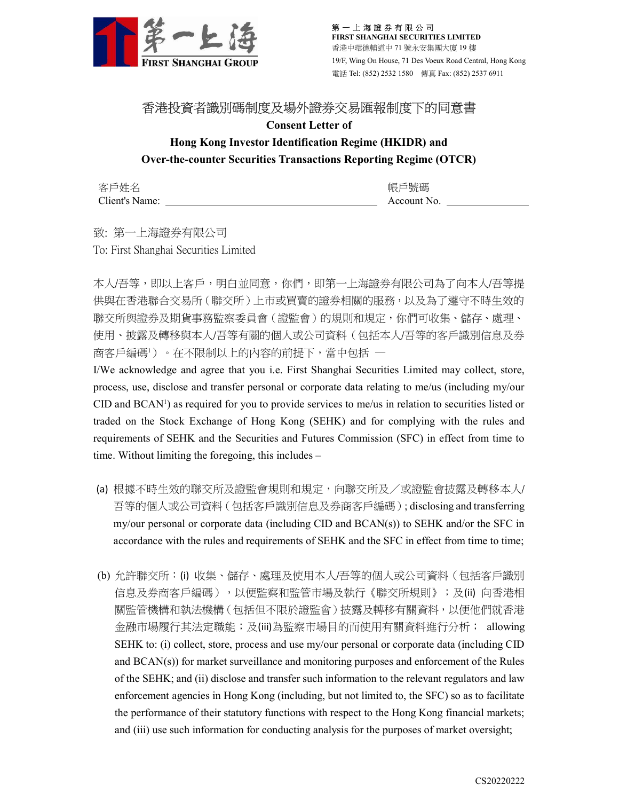

第 一 上 海 證 券 有 限 公 司 FIRST SHANGHAI SECURITIES LIMITED 香港中環德輔道中 71 號永安集團大廈 19 樓 19/F, Wing On House, 71 Des Voeux Road Central, Hong Kong 電話 Tel: (852) 2532 1580 傳真 Fax: (852) 2537 6911

## 香港投資者識別碼制度及場外證券交易匯報制度下的同意書

Consent Letter of

## Hong Kong Investor Identification Regime (HKIDR) and Over-the-counter Securities Transactions Reporting Regime (OTCR)

客戶姓名 Client's Name:

帳戶號碼 Account No.

致: 第一上海證券有限公司 To: First Shanghai Securities Limited

本人/吾等,即以上客戶,明白並同意,你們,即第一上海證券有限公司為了向本人/吾等提 供與在香港聯合交易所(聯交所)上市或買賣的證券相關的服務,以及為了遵守不時生效的 聯交所與證券及期貨事務監察委員會(證監會)的規則和規定,你們可收集、儲存、處理、 使用、披露及轉移與本人/吾等有關的個人或公司資料(包括本人/吾等的客戶識別信息及券 商客戶編碼1)。在不限制以上的內容的前提下,當中包括 一

I/We acknowledge and agree that you i.e. First Shanghai Securities Limited may collect, store, process, use, disclose and transfer personal or corporate data relating to me/us (including my/our CID and BCAN1) as required for you to provide services to me/us in relation to securities listed or traded on the Stock Exchange of Hong Kong (SEHK) and for complying with the rules and requirements of SEHK and the Securities and Futures Commission (SFC) in effect from time to time. Without limiting the foregoing, this includes –

- (a) 根據不時生效的聯交所及證監會規則和規定,向聯交所及/或證監會披露及轉移本人/ 吾等的個人或公司資料(包括客戶識別信息及券商客戶編碼); disclosing and transferring my/our personal or corporate data (including CID and BCAN(s)) to SEHK and/or the SFC in accordance with the rules and requirements of SEHK and the SFC in effect from time to time;
- (b) 允許聯交所:(i) 收集、儲存、處理及使用本人/吾等的個人或公司資料(包括客戶識別 信息及券商客戶編碼),以便監察和監管市場及執行《聯交所規則》;及(ii) 向香港相 關監管機構和執法機構(包括但不限於證監會)披露及轉移有關資料,以便他們就香港 金融市場履行其法定職能;及(iii)為監察市場目的而使用有關資料進行分析; allowing SEHK to: (i) collect, store, process and use my/our personal or corporate data (including CID and BCAN(s)) for market surveillance and monitoring purposes and enforcement of the Rules of the SEHK; and (ii) disclose and transfer such information to the relevant regulators and law enforcement agencies in Hong Kong (including, but not limited to, the SFC) so as to facilitate the performance of their statutory functions with respect to the Hong Kong financial markets; and (iii) use such information for conducting analysis for the purposes of market oversight;